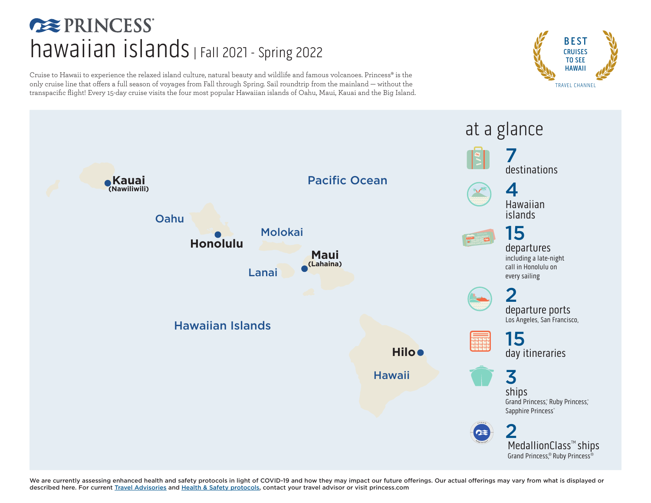### **EXPRINCESS**  $hawaiian$  islands | Fall 2021 - Spring 2022

Cruise to Hawaii to experience the relaxed island culture, natural beauty and wildlife and famous volcanoes. Princess® is the only cruise line that offers a full season of voyages from Fall through Spring. Sail roundtrip from the mainland — without the transpacific flight! Every 15-day cruise visits the four most popular Hawaiian islands of Oahu, Maui, Kauai and the Big Island.





We are currently assessing enhanced health and safety protocols in light of COVID-19 and how they may impact our future offerings. Our actual offerings may vary from what is displayed or described here. For current [Travel Advisories](https://www.princess.com/news/notices_and_advisories/) and [Health & Safety protocols](https://www.princess.com/plan/cruise-with-confidence/keeping-you-safe-and-healthy/), contact your travel advisor or visit [princess.com](http://princess.com)